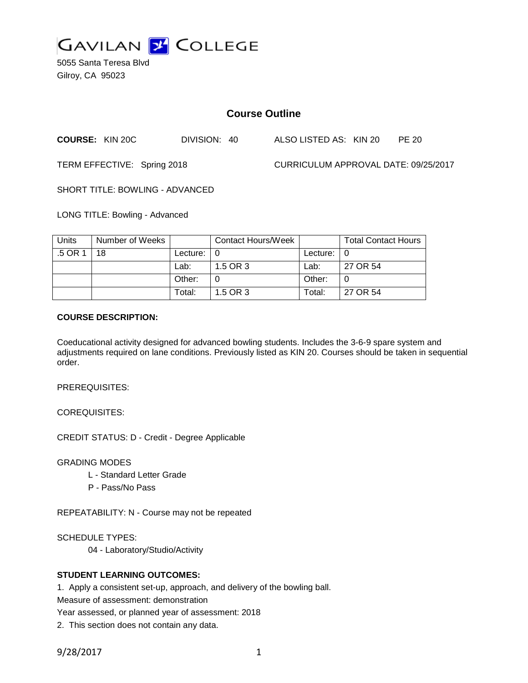

5055 Santa Teresa Blvd Gilroy, CA 95023

# **Course Outline**

**COURSE:** KIN 20C DIVISION: 40 ALSO LISTED AS: KIN 20 PE 20

TERM EFFECTIVE: Spring 2018 CURRICULUM APPROVAL DATE: 09/25/2017

SHORT TITLE: BOWLING - ADVANCED

LONG TITLE: Bowling - Advanced

| <b>Units</b> | Number of Weeks |               | Contact Hours/Week |                    | <b>Total Contact Hours</b> |
|--------------|-----------------|---------------|--------------------|--------------------|----------------------------|
| .5 OR 1      | 18              | Lecture: $ 0$ |                    | Lecture: $\vert 0$ |                            |
|              |                 | Lab:          | 1.5 OR 3           | Lab:               | 27 OR 54                   |
|              |                 | Other:        |                    | Other:             |                            |
|              |                 | Total:        | 1.5 OR 3           | Total:             | 27 OR 54                   |

### **COURSE DESCRIPTION:**

Coeducational activity designed for advanced bowling students. Includes the 3-6-9 spare system and adjustments required on lane conditions. Previously listed as KIN 20. Courses should be taken in sequential order.

PREREQUISITES:

COREQUISITES:

CREDIT STATUS: D - Credit - Degree Applicable

GRADING MODES

- L Standard Letter Grade
- P Pass/No Pass

REPEATABILITY: N - Course may not be repeated

SCHEDULE TYPES:

04 - Laboratory/Studio/Activity

### **STUDENT LEARNING OUTCOMES:**

1. Apply a consistent set-up, approach, and delivery of the bowling ball.

Measure of assessment: demonstration

Year assessed, or planned year of assessment: 2018

2. This section does not contain any data.

9/28/2017 1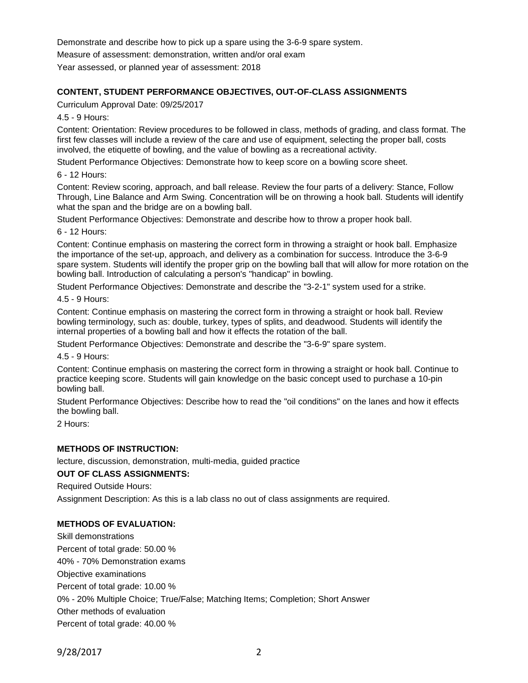Demonstrate and describe how to pick up a spare using the 3-6-9 spare system.

Measure of assessment: demonstration, written and/or oral exam

Year assessed, or planned year of assessment: 2018

## **CONTENT, STUDENT PERFORMANCE OBJECTIVES, OUT-OF-CLASS ASSIGNMENTS**

Curriculum Approval Date: 09/25/2017

4.5 - 9 Hours:

Content: Orientation: Review procedures to be followed in class, methods of grading, and class format. The first few classes will include a review of the care and use of equipment, selecting the proper ball, costs involved, the etiquette of bowling, and the value of bowling as a recreational activity.

Student Performance Objectives: Demonstrate how to keep score on a bowling score sheet.

6 - 12 Hours:

Content: Review scoring, approach, and ball release. Review the four parts of a delivery: Stance, Follow Through, Line Balance and Arm Swing. Concentration will be on throwing a hook ball. Students will identify what the span and the bridge are on a bowling ball.

Student Performance Objectives: Demonstrate and describe how to throw a proper hook ball.

6 - 12 Hours:

Content: Continue emphasis on mastering the correct form in throwing a straight or hook ball. Emphasize the importance of the set-up, approach, and delivery as a combination for success. Introduce the 3-6-9 spare system. Students will identify the proper grip on the bowling ball that will allow for more rotation on the bowling ball. Introduction of calculating a person's "handicap" in bowling.

Student Performance Objectives: Demonstrate and describe the "3-2-1" system used for a strike.

4.5 - 9 Hours:

Content: Continue emphasis on mastering the correct form in throwing a straight or hook ball. Review bowling terminology, such as: double, turkey, types of splits, and deadwood. Students will identify the internal properties of a bowling ball and how it effects the rotation of the ball.

Student Performance Objectives: Demonstrate and describe the "3-6-9" spare system.

4.5 - 9 Hours:

Content: Continue emphasis on mastering the correct form in throwing a straight or hook ball. Continue to practice keeping score. Students will gain knowledge on the basic concept used to purchase a 10-pin bowling ball.

Student Performance Objectives: Describe how to read the "oil conditions" on the lanes and how it effects the bowling ball.

2 Hours:

### **METHODS OF INSTRUCTION:**

lecture, discussion, demonstration, multi-media, guided practice

### **OUT OF CLASS ASSIGNMENTS:**

Required Outside Hours:

Assignment Description: As this is a lab class no out of class assignments are required.

### **METHODS OF EVALUATION:**

Skill demonstrations Percent of total grade: 50.00 % 40% - 70% Demonstration exams Objective examinations Percent of total grade: 10.00 % 0% - 20% Multiple Choice; True/False; Matching Items; Completion; Short Answer Other methods of evaluation Percent of total grade: 40.00 %

9/28/2017 2